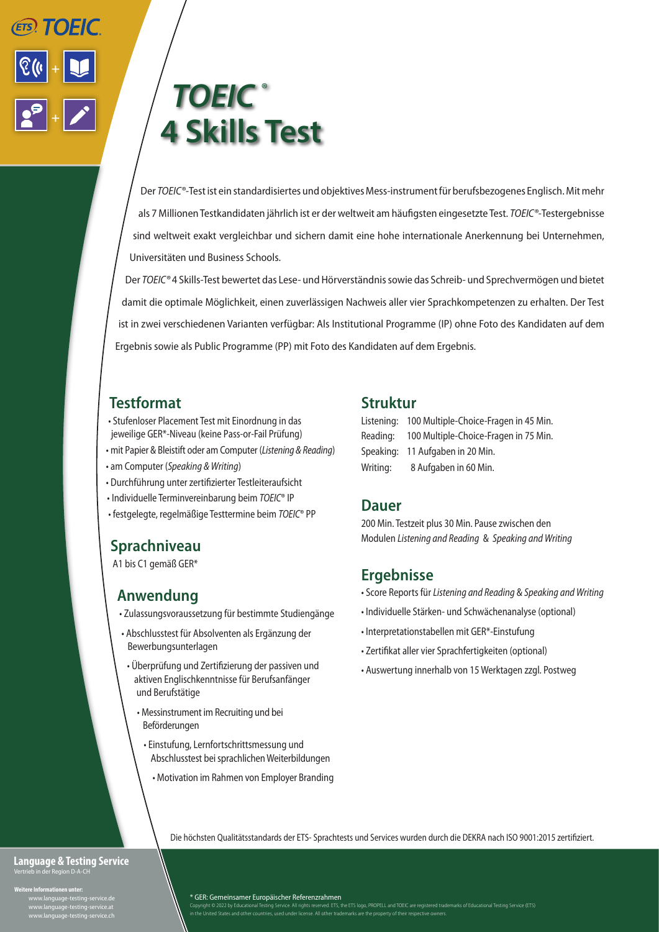

# *TOEIC ®* **4 Skills Test**

Der *TOEIC®-*Test ist ein standardisiertes und objektives Mess-instrument für berufsbezogenes Englisch. Mit mehr als 7 Millionen Testkandidaten jährlich ist er der weltweit am häufigsten eingesetzte Test. *TOEIC®-*Testergebnisse sind weltweit exakt vergleichbar und sichern damit eine hohe internationale Anerkennung bei Unternehmen, Universitäten und Business Schools.

Der *TOEIC®* 4 Skills-Test bewertet das Lese- und Hörverständnis sowie das Schreib- und Sprechvermögen und bietet damit die optimale Möglichkeit, einen zuverlässigen Nachweis aller vier Sprachkompetenzen zu erhalten. Der Test ist in zwei verschiedenen Varianten verfügbar: Als Institutional Programme (IP) ohne Foto des Kandidaten auf dem Ergebnis sowie als Public Programme (PP) mit Foto des Kandidaten auf dem Ergebnis.

# **Testformat**

- Stufenloser Placement Test mit Einordnung in das jeweilige GER\*-Niveau (keine Pass-or-Fail Prüfung)
- mit Papier & Bleistift oder am Computer (*Listening & Reading*)
- am Computer (*Speaking & Writing*)
- Durchführung unter zertifizierter Testleiteraufsicht
- Individuelle Terminvereinbarung beim *TOEIC*® IP
- festgelegte, regelmäßige Testtermine beim *TOEIC*® PP

# **Sprachniveau**

A1 bis C1 gemäß GER\*

# **Anwendung**

- Zulassungsvoraussetzung für bestimmte Studiengänge
- Abschlusstest für Absolventen als Ergänzung der Bewerbungsunterlagen
	- Überprüfung und Zertifizierung der passiven und aktiven Englischkenntnisse für Berufsanfänger und Berufstätige
		- Messinstrument im Recruiting und bei Beförderungen
			- Einstufung, Lernfortschrittsmessung und Abschlusstest bei sprachlichen Weiterbildungen
				- Motivation im Rahmen von Employer Branding

### **Struktur**

|           | Listening: 100 Multiple-Choice-Fragen in 45 Min. |
|-----------|--------------------------------------------------|
| Reading:  | 100 Multiple-Choice-Fragen in 75 Min.            |
| Speaking: | 11 Aufgaben in 20 Min.                           |
| Writing:  | 8 Aufgaben in 60 Min.                            |

### **Dauer**

200 Min. Testzeit plus 30 Min. Pause zwischen den Modulen *Listening and Reading* & *Speaking and Writing*

### **Ergebnisse**

- Score Reports für *Listening and Reading* & *Speaking and Writing*
- Individuelle Stärken- und Schwächenanalyse (optional)
- Interpretationstabellen mit GER\*-Einstufung
- Zertifikat aller vier Sprachfertigkeiten (optional)
- Auswertung innerhalb von 15 Werktagen zzgl. Postweg

Die höchsten Qualitätsstandards der ETS- Sprachtests und Services wurden durch die DEKRA nach ISO 9001:2015 zertifiziert.

# **Language & Testing Service**

**Weitere Informationen unter:**

 www.language-testing-service.de www.language-testing-service.at www.language-testing-service.ch

#### \* GER: Gemeinsamer Europäischer Referenzrahmen

Copyright © 2022 by Educational Testing Service. All rights reserved. ETS, the ETS logo, PROPELL and TOEIC are registered trademarks of Educational Testing Service (ETS)<br>in the United States and other countries, used under